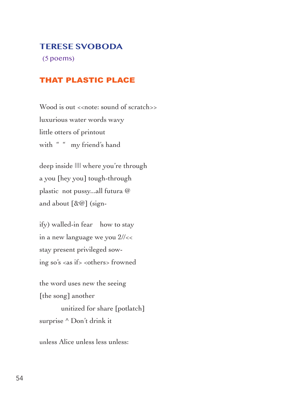#### **TERESE SVOBODA**

(5 poems)

#### THAT PLASTIC PLACE

Wood is out << note: sound of scratch>> luxurious water words wavy little otters of printout with " " my friend's hand

deep inside |||| where you're through a you [hey you] tough-through plastic not pussy...all futura @ and about [&@] (sign-

ify) walled-in fear how to stay in a new language we you 2//<< stay present privileged sowing so's <as if> <others> frowned

the word uses new the seeing [the song] another unitized for share [potlatch] surprise ^ Don't drink it

unless Alice unless less unless: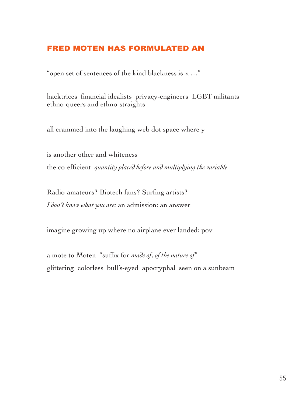# FRED MOTEN HAS FORMULATED AN

"open set of sentences of the kind blackness is x …"

hacktrices financial idealists privacy-engineers LGBT militants ethno-queers and ethno-straights

all crammed into the laughing web dot space where y

is another other and whiteness the co-efficient *quantity placed before and multiplying the variable*

Radio-amateurs? Biotech fans? Surfing artists? *I don't know what you are:* an admission: an answer

imagine growing up where no airplane ever landed: pov

a mote to Moten "suffix for *made of*, *of the nature of*" glittering colorless bull's-eyed apocryphal seen on a sunbeam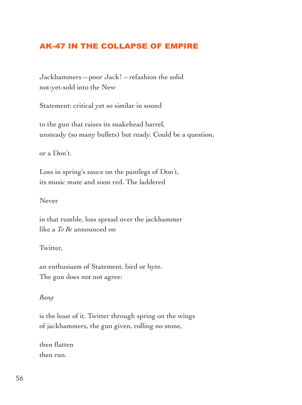### AK-47 IN THE COLLAPSE OF EMPIRE

Jackhammers—poor Jack! – refashion the solid not-yet-sold into the New

Statement: critical yet so similar in sound

to the gun that raises its snakehead barrel, unsteady (so many bullets) but ready. Could be a question,

or a Don't.

Loss in spring's sauce on the pantlegs of Don't, its music mute and soon red. The laddered

Never

in that rumble, loss spread over the jackhammer like a *To Be* announced on

Twitter,

an enthusiasm of Statement, bird or byte. The gun does not not agree:

#### *Bang*

is the least of it. Twitter through spring on the wings of jackhammers, the gun given, rolling no stone,

then flatten then run.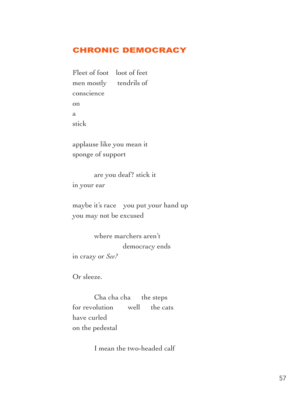### CHRONIC DEMOCRACY

Fleet of foot loot of feet men mostly tendrils of conscience on a stick

applause like you mean it sponge of support

are you deaf? stick it in your ear

maybe it's race you put your hand up you may not be excused

where marchers aren't democracy ends in crazy or *See?*

Or sleeze.

Cha cha cha the steps for revolution well the cats have curled on the pedestal

I mean the two-headed calf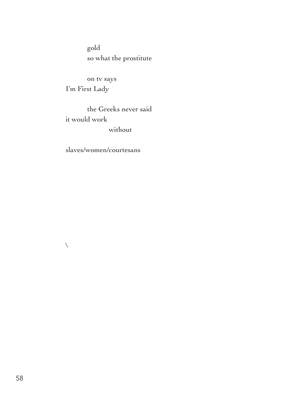gold so what the prostitute

on tv says I'm First Lady

the Greeks never said it would work without

slaves/women/courtesans

 $\bar{\mathbf{N}}$